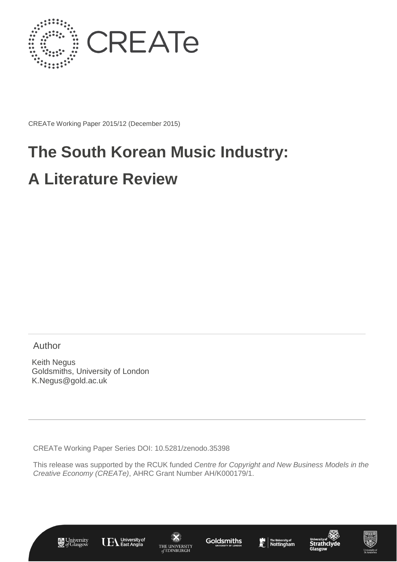

CREATe Working Paper 2015/12 (December 2015)

# **The South Korean Music Industry: A Literature Review**

Author

Keith Negus Goldsmiths, University of London K.Negus@gold.ac.uk

CREATe Working Paper Series DOI: 10.5281/zenodo.35398

This release was supported by the RCUK funded *Centre for Copyright and New Business Models in the Creative Economy (CREATe)*, AHRC Grant Number AH/K000179/1.













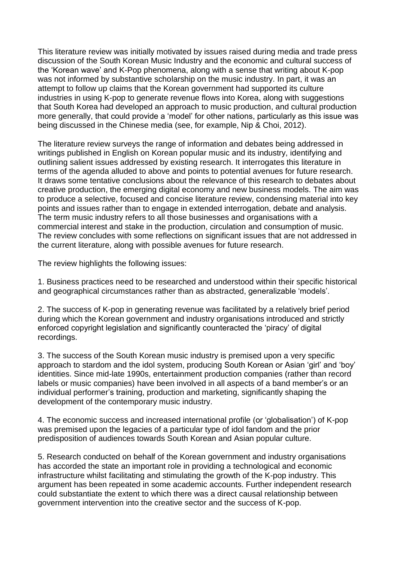This literature review was initially motivated by issues raised during media and trade press discussion of the South Korean Music Industry and the economic and cultural success of the 'Korean wave' and K-Pop phenomena, along with a sense that writing about K-pop was not informed by substantive scholarship on the music industry. In part, it was an attempt to follow up claims that the Korean government had supported its culture industries in using K-pop to generate revenue flows into Korea, along with suggestions that South Korea had developed an approach to music production, and cultural production more generally, that could provide a 'model' for other nations, particularly as this issue was being discussed in the Chinese media (see, for example, Nip & Choi, 2012).

The literature review surveys the range of information and debates being addressed in writings published in English on Korean popular music and its industry, identifying and outlining salient issues addressed by existing research. It interrogates this literature in terms of the agenda alluded to above and points to potential avenues for future research. It draws some tentative conclusions about the relevance of this research to debates about creative production, the emerging digital economy and new business models. The aim was to produce a selective, focused and concise literature review, condensing material into key points and issues rather than to engage in extended interrogation, debate and analysis. The term music industry refers to all those businesses and organisations with a commercial interest and stake in the production, circulation and consumption of music. The review concludes with some reflections on significant issues that are not addressed in the current literature, along with possible avenues for future research.

The review highlights the following issues:

1. Business practices need to be researched and understood within their specific historical and geographical circumstances rather than as abstracted, generalizable 'models'.

2. The success of K-pop in generating revenue was facilitated by a relatively brief period during which the Korean government and industry organisations introduced and strictly enforced copyright legislation and significantly counteracted the 'piracy' of digital recordings.

3. The success of the South Korean music industry is premised upon a very specific approach to stardom and the idol system, producing South Korean or Asian 'girl' and 'boy' identities. Since mid-late 1990s, entertainment production companies (rather than record labels or music companies) have been involved in all aspects of a band member's or an individual performer's training, production and marketing, significantly shaping the development of the contemporary music industry.

4. The economic success and increased international profile (or 'globalisation') of K-pop was premised upon the legacies of a particular type of idol fandom and the prior predisposition of audiences towards South Korean and Asian popular culture.

5. Research conducted on behalf of the Korean government and industry organisations has accorded the state an important role in providing a technological and economic infrastructure whilst facilitating and stimulating the growth of the K-pop industry. This argument has been repeated in some academic accounts. Further independent research could substantiate the extent to which there was a direct causal relationship between government intervention into the creative sector and the success of K-pop.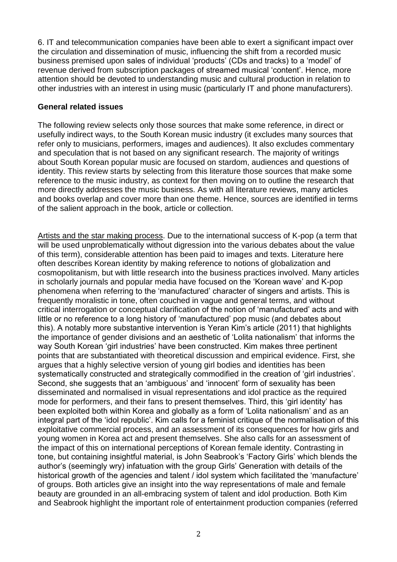6. IT and telecommunication companies have been able to exert a significant impact over the circulation and dissemination of music, influencing the shift from a recorded music business premised upon sales of individual 'products' (CDs and tracks) to a 'model' of revenue derived from subscription packages of streamed musical 'content'. Hence, more attention should be devoted to understanding music and cultural production in relation to other industries with an interest in using music (particularly IT and phone manufacturers).

#### **General related issues**

The following review selects only those sources that make some reference, in direct or usefully indirect ways, to the South Korean music industry (it excludes many sources that refer only to musicians, performers, images and audiences). It also excludes commentary and speculation that is not based on any significant research. The majority of writings about South Korean popular music are focused on stardom, audiences and questions of identity. This review starts by selecting from this literature those sources that make some reference to the music industry, as context for then moving on to outline the research that more directly addresses the music business. As with all literature reviews, many articles and books overlap and cover more than one theme. Hence, sources are identified in terms of the salient approach in the book, article or collection.

Artists and the star making process. Due to the international success of K-pop (a term that will be used unproblematically without digression into the various debates about the value of this term), considerable attention has been paid to images and texts. Literature here often describes Korean identity by making reference to notions of globalization and cosmopolitanism, but with little research into the business practices involved. Many articles in scholarly journals and popular media have focused on the 'Korean wave' and K-pop phenomena when referring to the 'manufactured' character of singers and artists. This is frequently moralistic in tone, often couched in vague and general terms, and without critical interrogation or conceptual clarification of the notion of 'manufactured' acts and with little or no reference to a long history of 'manufactured' pop music (and debates about this). A notably more substantive intervention is Yeran Kim's article (2011) that highlights the importance of gender divisions and an aesthetic of 'Lolita nationalism' that informs the way South Korean 'girl industries' have been constructed. Kim makes three pertinent points that are substantiated with theoretical discussion and empirical evidence. First, she argues that a highly selective version of young girl bodies and identities has been systematically constructed and strategically commodified in the creation of 'girl industries'. Second, she suggests that an 'ambiguous' and 'innocent' form of sexuality has been disseminated and normalised in visual representations and idol practice as the required mode for performers, and their fans to present themselves. Third, this 'girl identity' has been exploited both within Korea and globally as a form of 'Lolita nationalism' and as an integral part of the 'idol republic'. Kim calls for a feminist critique of the normalisation of this exploitative commercial process, and an assessment of its consequences for how girls and young women in Korea act and present themselves. She also calls for an assessment of the impact of this on international perceptions of Korean female identity. Contrasting in tone, but containing insightful material, is John Seabrook's 'Factory Girls' which blends the author's (seemingly wry) infatuation with the group Girls' Generation with details of the historical growth of the agencies and talent / idol system which facilitated the 'manufacture' of groups. Both articles give an insight into the way representations of male and female beauty are grounded in an all-embracing system of talent and idol production. Both Kim and Seabrook highlight the important role of entertainment production companies (referred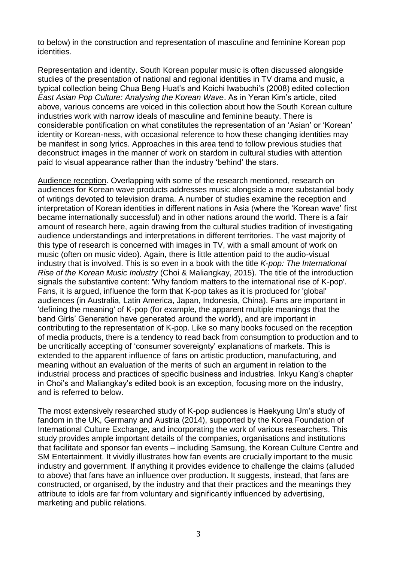to below) in the construction and representation of masculine and feminine Korean pop identities.

Representation and identity. South Korean popular music is often discussed alongside studies of the presentation of national and regional identities in TV drama and music, a typical collection being Chua Beng Huat's and Koichi Iwabuchi's (2008) edited collection *East Asian Pop Culture: Analysing the Korean Wave*. As in Yeran Kim's article, cited above, various concerns are voiced in this collection about how the South Korean culture industries work with narrow ideals of masculine and feminine beauty. There is considerable pontification on what constitutes the representation of an 'Asian' or 'Korean' identity or Korean-ness, with occasional reference to how these changing identities may be manifest in song lyrics. Approaches in this area tend to follow previous studies that deconstruct images in the manner of work on stardom in cultural studies with attention paid to visual appearance rather than the industry 'behind' the stars.

Audience reception. Overlapping with some of the research mentioned, research on audiences for Korean wave products addresses music alongside a more substantial body of writings devoted to television drama. A number of studies examine the reception and interpretation of Korean identities in different nations in Asia (where the 'Korean wave' first became internationally successful) and in other nations around the world. There is a fair amount of research here, again drawing from the cultural studies tradition of investigating audience understandings and interpretations in different territories. The vast majority of this type of research is concerned with images in TV, with a small amount of work on music (often on music video). Again, there is little attention paid to the audio-visual industry that is involved. This is so even in a book with the title *K-pop: The International Rise of the Korean Music Industry* (Choi & Maliangkay, 2015). The title of the introduction signals the substantive content: 'Why fandom matters to the international rise of K-pop'. Fans, it is argued, influence the form that K-pop takes as it is produced for 'global' audiences (in Australia, Latin America, Japan, Indonesia, China). Fans are important in 'defining the meaning' of K-pop (for example, the apparent multiple meanings that the band Girls' Generation have generated around the world), and are important in contributing to the representation of K-pop. Like so many books focused on the reception of media products, there is a tendency to read back from consumption to production and to be uncritically accepting of 'consumer sovereignty' explanations of markets. This is extended to the apparent influence of fans on artistic production, manufacturing, and meaning without an evaluation of the merits of such an argument in relation to the industrial process and practices of specific business and industries. Inkyu Kang's chapter in Choi's and Maliangkay's edited book is an exception, focusing more on the industry, and is referred to below.

The most extensively researched study of K-pop audiences is Haekyung Um's study of fandom in the UK, Germany and Austria (2014), supported by the Korea Foundation of International Culture Exchange, and incorporating the work of various researchers. This study provides ample important details of the companies, organisations and institutions that facilitate and sponsor fan events – including Samsung, the Korean Culture Centre and SM Entertainment. It vividly illustrates how fan events are crucially important to the music industry and government. If anything it provides evidence to challenge the claims (alluded to above) that fans have an influence over production. It suggests, instead, that fans are constructed, or organised, by the industry and that their practices and the meanings they attribute to idols are far from voluntary and significantly influenced by advertising, marketing and public relations.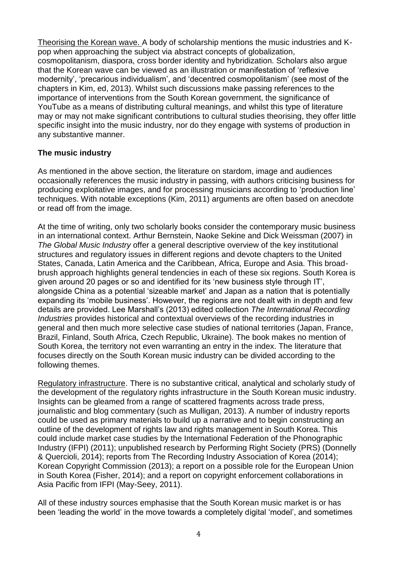Theorising the Korean wave. A body of scholarship mentions the music industries and Kpop when approaching the subject via abstract concepts of globalization, cosmopolitanism, diaspora, cross border identity and hybridization. Scholars also argue that the Korean wave can be viewed as an illustration or manifestation of 'reflexive modernity', 'precarious individualism', and 'decentred cosmopolitanism' (see most of the chapters in Kim, ed, 2013). Whilst such discussions make passing references to the importance of interventions from the South Korean government, the significance of YouTube as a means of distributing cultural meanings, and whilst this type of literature may or may not make significant contributions to cultural studies theorising, they offer little specific insight into the music industry, nor do they engage with systems of production in any substantive manner.

### **The music industry**

As mentioned in the above section, the literature on stardom, image and audiences occasionally references the music industry in passing, with authors criticising business for producing exploitative images, and for processing musicians according to 'production line' techniques. With notable exceptions (Kim, 2011) arguments are often based on anecdote or read off from the image.

At the time of writing, only two scholarly books consider the contemporary music business in an international context. Arthur Bernstein, Naoke Sekine and Dick Weissman (2007) in *The Global Music Industry* offer a general descriptive overview of the key institutional structures and regulatory issues in different regions and devote chapters to the United States, Canada, Latin America and the Caribbean, Africa, Europe and Asia. This broadbrush approach highlights general tendencies in each of these six regions. South Korea is given around 20 pages or so and identified for its 'new business style through IT', alongside China as a potential 'sizeable market' and Japan as a nation that is potentially expanding its 'mobile business'. However, the regions are not dealt with in depth and few details are provided. Lee Marshall's (2013) edited collection *The International Recording Industries* provides historical and contextual overviews of the recording industries in general and then much more selective case studies of national territories (Japan, France, Brazil, Finland, South Africa, Czech Republic, Ukraine). The book makes no mention of South Korea, the territory not even warranting an entry in the index. The literature that focuses directly on the South Korean music industry can be divided according to the following themes.

Regulatory infrastructure. There is no substantive critical, analytical and scholarly study of the development of the regulatory rights infrastructure in the South Korean music industry. Insights can be gleamed from a range of scattered fragments across trade press, journalistic and blog commentary (such as Mulligan, 2013). A number of industry reports could be used as primary materials to build up a narrative and to begin constructing an outline of the development of rights law and rights management in South Korea. This could include market case studies by the International Federation of the Phonographic Industry (IFPI) (2011); unpublished research by Performing Right Society (PRS) (Donnelly & Quercioli, 2014); reports from The Recording Industry Association of Korea (2014); Korean Copyright Commission (2013); a report on a possible role for the European Union in South Korea (Fisher, 2014); and a report on copyright enforcement collaborations in Asia Pacific from IFPI (May-Seey, 2011).

All of these industry sources emphasise that the South Korean music market is or has been 'leading the world' in the move towards a completely digital 'model', and sometimes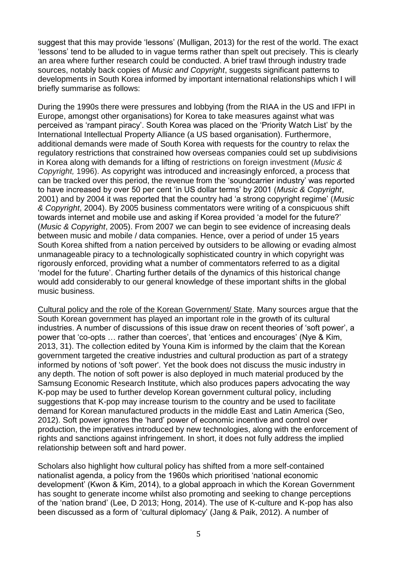suggest that this may provide 'lessons' (Mulligan, 2013) for the rest of the world. The exact 'lessons' tend to be alluded to in vague terms rather than spelt out precisely. This is clearly an area where further research could be conducted. A brief trawl through industry trade sources, notably back copies of *Music and Copyright*, suggests significant patterns to developments in South Korea informed by important international relationships which I will briefly summarise as follows:

During the 1990s there were pressures and lobbying (from the RIAA in the US and IFPI in Europe, amongst other organisations) for Korea to take measures against what was perceived as 'rampant piracy'. South Korea was placed on the 'Priority Watch List' by the International Intellectual Property Alliance (a US based organisation). Furthermore, additional demands were made of South Korea with requests for the country to relax the regulatory restrictions that constrained how overseas companies could set up subdivisions in Korea along with demands for a lifting of restrictions on foreign investment (*Music & Copyright,* 1996). As copyright was introduced and increasingly enforced, a process that can be tracked over this period, the revenue from the 'soundcarrier industry' was reported to have increased by over 50 per cent 'in US dollar terms' by 2001 (*Music & Copyright*, 2001) and by 2004 it was reported that the country had 'a strong copyright regime' (*Music & Copyright*, 2004). By 2005 business commentators were writing of a conspicuous shift towards internet and mobile use and asking if Korea provided 'a model for the future?' (*Music & Copyright*, 2005). From 2007 we can begin to see evidence of increasing deals between music and mobile / data companies. Hence, over a period of under 15 years South Korea shifted from a nation perceived by outsiders to be allowing or evading almost unmanageable piracy to a technologically sophisticated country in which copyright was rigorously enforced, providing what a number of commentators referred to as a digital 'model for the future'. Charting further details of the dynamics of this historical change would add considerably to our general knowledge of these important shifts in the global music business.

Cultural policy and the role of the Korean Government/ State. Many sources argue that the South Korean government has played an important role in the growth of its cultural industries. A number of discussions of this issue draw on recent theories of 'soft power', a power that 'co-opts … rather than coerces', that 'entices and encourages' (Nye & Kim, 2013, 31). The collection edited by Youna Kim is informed by the claim that the Korean government targeted the creative industries and cultural production as part of a strategy informed by notions of 'soft power'. Yet the book does not discuss the music industry in any depth. The notion of soft power is also deployed in much material produced by the Samsung Economic Research Institute, which also produces papers advocating the way K-pop may be used to further develop Korean government cultural policy, including suggestions that K-pop may increase tourism to the country and be used to facilitate demand for Korean manufactured products in the middle East and Latin America (Seo, 2012). Soft power ignores the 'hard' power of economic incentive and control over production, the imperatives introduced by new technologies, along with the enforcement of rights and sanctions against infringement. In short, it does not fully address the implied relationship between soft and hard power.

Scholars also highlight how cultural policy has shifted from a more self-contained nationalist agenda, a policy from the 1960s which prioritised 'national economic development' (Kwon & Kim, 2014), to a global approach in which the Korean Government has sought to generate income whilst also promoting and seeking to change perceptions of the 'nation brand' (Lee, D 2013; Hong, 2014). The use of K-culture and K-pop has also been discussed as a form of 'cultural diplomacy' (Jang & Paik, 2012). A number of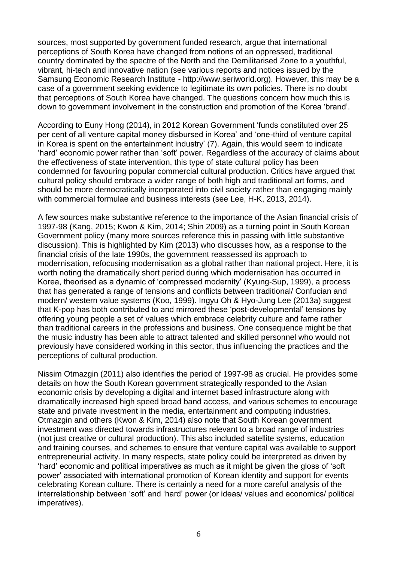sources, most supported by government funded research, argue that international perceptions of South Korea have changed from notions of an oppressed, traditional country dominated by the spectre of the North and the Demilitarised Zone to a youthful, vibrant, hi-tech and innovative nation (see various reports and notices issued by the Samsung Economic Research Institute - http://www.seriworld.org). However, this may be a case of a government seeking evidence to legitimate its own policies. There is no doubt that perceptions of South Korea have changed. The questions concern how much this is down to government involvement in the construction and promotion of the Korea 'brand'.

According to Euny Hong (2014), in 2012 Korean Government 'funds constituted over 25 per cent of all venture capital money disbursed in Korea' and 'one-third of venture capital in Korea is spent on the entertainment industry' (7). Again, this would seem to indicate 'hard' economic power rather than 'soft' power. Regardless of the accuracy of claims about the effectiveness of state intervention, this type of state cultural policy has been condemned for favouring popular commercial cultural production. Critics have argued that cultural policy should embrace a wider range of both high and traditional art forms, and should be more democratically incorporated into civil society rather than engaging mainly with commercial formulae and business interests (see Lee, H-K, 2013, 2014).

A few sources make substantive reference to the importance of the Asian financial crisis of 1997-98 (Kang, 2015; Kwon & Kim, 2014; Shin 2009) as a turning point in South Korean Government policy (many more sources reference this in passing with little substantive discussion). This is highlighted by Kim (2013) who discusses how, as a response to the financial crisis of the late 1990s, the government reassessed its approach to modernisation, refocusing modernisation as a global rather than national project. Here, it is worth noting the dramatically short period during which modernisation has occurred in Korea, theorised as a dynamic of 'compressed modernity' (Kyung-Sup, 1999), a process that has generated a range of tensions and conflicts between traditional/ Confucian and modern/ western value systems (Koo, 1999). Ingyu Oh & Hyo-Jung Lee (2013a) suggest that K-pop has both contributed to and mirrored these 'post-developmental' tensions by offering young people a set of values which embrace celebrity culture and fame rather than traditional careers in the professions and business. One consequence might be that the music industry has been able to attract talented and skilled personnel who would not previously have considered working in this sector, thus influencing the practices and the perceptions of cultural production.

Nissim Otmazgin (2011) also identifies the period of 1997-98 as crucial. He provides some details on how the South Korean government strategically responded to the Asian economic crisis by developing a digital and internet based infrastructure along with dramatically increased high speed broad band access, and various schemes to encourage state and private investment in the media, entertainment and computing industries. Otmazgin and others (Kwon & Kim, 2014) also note that South Korean government investment was directed towards infrastructures relevant to a broad range of industries (not just creative or cultural production). This also included satellite systems, education and training courses, and schemes to ensure that venture capital was available to support entrepreneurial activity. In many respects, state policy could be interpreted as driven by 'hard' economic and political imperatives as much as it might be given the gloss of 'soft power' associated with international promotion of Korean identity and support for events celebrating Korean culture. There is certainly a need for a more careful analysis of the interrelationship between 'soft' and 'hard' power (or ideas/ values and economics/ political imperatives).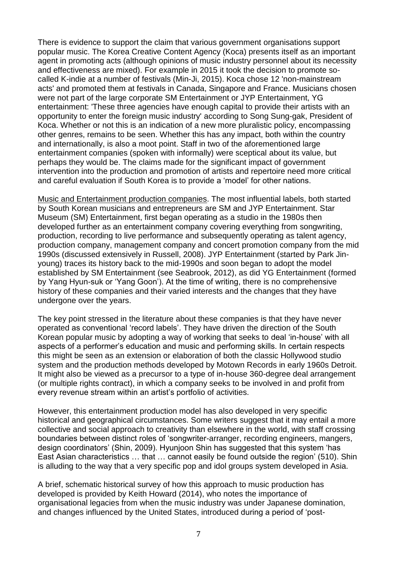There is evidence to support the claim that various government organisations support popular music. The Korea Creative Content Agency (Koca) presents itself as an important agent in promoting acts (although opinions of music industry personnel about its necessity and effectiveness are mixed). For example in 2015 it took the decision to promote socalled K-indie at a number of festivals (Min-Ji, 2015). Koca chose 12 'non-mainstream acts' and promoted them at festivals in Canada, Singapore and France. Musicians chosen were not part of the large corporate SM Entertainment or JYP Entertainment, YG entertainment: 'These three agencies have enough capital to provide their artists with an opportunity to enter the foreign music industry' according to Song Sung-gak, President of Koca. Whether or not this is an indication of a new more pluralistic policy, encompassing other genres, remains to be seen. Whether this has any impact, both within the country and internationally, is also a moot point. Staff in two of the aforementioned large entertainment companies (spoken with informally) were sceptical about its value, but perhaps they would be. The claims made for the significant impact of government intervention into the production and promotion of artists and repertoire need more critical and careful evaluation if South Korea is to provide a 'model' for other nations.

Music and Entertainment production companies. The most influential labels, both started by South Korean musicians and entrepreneurs are SM and JYP Entertainment. Star Museum (SM) Entertainment, first began operating as a studio in the 1980s then developed further as an entertainment company covering everything from songwriting, production, recording to live performance and subsequently operating as talent agency, production company, management company and concert promotion company from the mid 1990s (discussed extensively in Russell, 2008). JYP Entertainment (started by Park Jinyoung) traces its history back to the mid-1990s and soon began to adopt the model established by SM Entertainment (see Seabrook, 2012), as did YG Entertainment (formed by Yang Hyun-suk or 'Yang Goon'). At the time of writing, there is no comprehensive history of these companies and their varied interests and the changes that they have undergone over the years.

The key point stressed in the literature about these companies is that they have never operated as conventional 'record labels'. They have driven the direction of the South Korean popular music by adopting a way of working that seeks to deal 'in-house' with all aspects of a performer's education and music and performing skills. In certain respects this might be seen as an extension or elaboration of both the classic Hollywood studio system and the production methods developed by Motown Records in early 1960s Detroit. It might also be viewed as a precursor to a type of in-house 360-degree deal arrangement (or multiple rights contract), in which a company seeks to be involved in and profit from every revenue stream within an artist's portfolio of activities.

However, this entertainment production model has also developed in very specific historical and geographical circumstances. Some writers suggest that it may entail a more collective and social approach to creativity than elsewhere in the world, with staff crossing boundaries between distinct roles of 'songwriter-arranger, recording engineers, mangers, design coordinators' (Shin, 2009). Hyunjoon Shin has suggested that this system 'has East Asian characteristics … that … cannot easily be found outside the region' (510). Shin is alluding to the way that a very specific pop and idol groups system developed in Asia.

A brief, schematic historical survey of how this approach to music production has developed is provided by Keith Howard (2014), who notes the importance of organisational legacies from when the music industry was under Japanese domination, and changes influenced by the United States, introduced during a period of 'post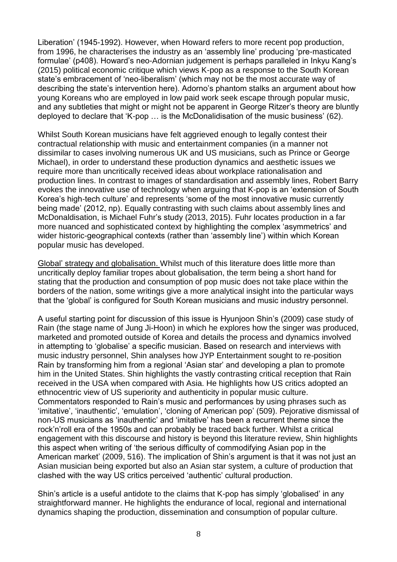Liberation' (1945-1992). However, when Howard refers to more recent pop production, from 1996, he characterises the industry as an 'assembly line' producing 'pre-masticated formulae' (p408). Howard's neo-Adornian judgement is perhaps paralleled in Inkyu Kang's (2015) political economic critique which views K-pop as a response to the South Korean state's embracement of 'neo-liberalism' (which may not be the most accurate way of describing the state's intervention here). Adorno's phantom stalks an argument about how young Koreans who are employed in low paid work seek escape through popular music, and any subtleties that might or might not be apparent in George Ritzer's theory are bluntly deployed to declare that 'K-pop … is the McDonalidisation of the music business' (62).

Whilst South Korean musicians have felt aggrieved enough to legally contest their contractual relationship with music and entertainment companies (in a manner not dissimilar to cases involving numerous UK and US musicians, such as Prince or George Michael), in order to understand these production dynamics and aesthetic issues we require more than uncritically received ideas about workplace rationalisation and production lines. In contrast to images of standardisation and assembly lines, Robert Barry evokes the innovative use of technology when arguing that K-pop is an 'extension of South Korea's high-tech culture' and represents 'some of the most innovative music currently being made' (2012, np). Equally contrasting with such claims about assembly lines and McDonaldisation, is Michael Fuhr's study (2013, 2015). Fuhr locates production in a far more nuanced and sophisticated context by highlighting the complex 'asymmetrics' and wider historic-geographical contexts (rather than 'assembly line') within which Korean popular music has developed.

Global' strategy and globalisation. Whilst much of this literature does little more than uncritically deploy familiar tropes about globalisation, the term being a short hand for stating that the production and consumption of pop music does not take place within the borders of the nation, some writings give a more analytical insight into the particular ways that the 'global' is configured for South Korean musicians and music industry personnel.

A useful starting point for discussion of this issue is Hyunjoon Shin's (2009) case study of Rain (the stage name of Jung Ji-Hoon) in which he explores how the singer was produced, marketed and promoted outside of Korea and details the process and dynamics involved in attempting to 'globalise' a specific musician. Based on research and interviews with music industry personnel, Shin analyses how JYP Entertainment sought to re-position Rain by transforming him from a regional 'Asian star' and developing a plan to promote him in the United States. Shin highlights the vastly contrasting critical reception that Rain received in the USA when compared with Asia. He highlights how US critics adopted an ethnocentric view of US superiority and authenticity in popular music culture. Commentators responded to Rain's music and performances by using phrases such as 'imitative', 'inauthentic', 'emulation', 'cloning of American pop' (509). Pejorative dismissal of non-US musicians as 'inauthentic' and 'imitative' has been a recurrent theme since the rock'n'roll era of the 1950s and can probably be traced back further. Whilst a critical engagement with this discourse and history is beyond this literature review, Shin highlights this aspect when writing of 'the serious difficulty of commodifying Asian pop in the American market' (2009, 516). The implication of Shin's argument is that it was not just an Asian musician being exported but also an Asian star system, a culture of production that clashed with the way US critics perceived 'authentic' cultural production.

Shin's article is a useful antidote to the claims that K-pop has simply 'globalised' in any straightforward manner. He highlights the endurance of local, regional and international dynamics shaping the production, dissemination and consumption of popular culture.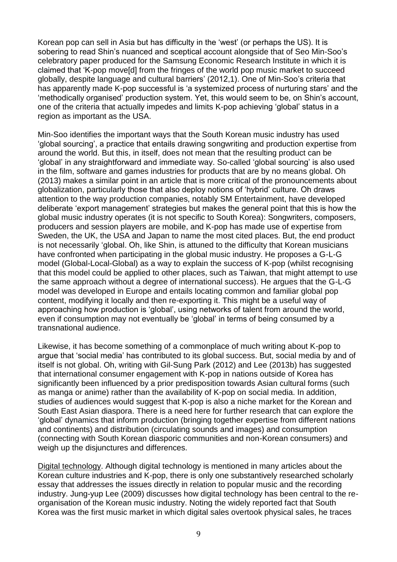Korean pop can sell in Asia but has difficulty in the 'west' (or perhaps the US). It is sobering to read Shin's nuanced and sceptical account alongside that of Seo Min-Soo's celebratory paper produced for the Samsung Economic Research Institute in which it is claimed that 'K-pop move[d] from the fringes of the world pop music market to succeed globally, despite language and cultural barriers' (2012,1). One of Min-Soo's criteria that has apparently made K-pop successful is 'a systemized process of nurturing stars' and the 'methodically organised' production system. Yet, this would seem to be, on Shin's account, one of the criteria that actually impedes and limits K-pop achieving 'global' status in a region as important as the USA.

Min-Soo identifies the important ways that the South Korean music industry has used 'global sourcing', a practice that entails drawing songwriting and production expertise from around the world. But this, in itself, does not mean that the resulting product can be 'global' in any straightforward and immediate way. So-called 'global sourcing' is also used in the film, software and games industries for products that are by no means global. Oh (2013) makes a similar point in an article that is more critical of the pronouncements about globalization, particularly those that also deploy notions of 'hybrid' culture. Oh draws attention to the way production companies, notably SM Entertainment, have developed deliberate 'export management' strategies but makes the general point that this is how the global music industry operates (it is not specific to South Korea): Songwriters, composers, producers and session players are mobile, and K-pop has made use of expertise from Sweden, the UK, the USA and Japan to name the most cited places. But, the end product is not necessarily 'global. Oh, like Shin, is attuned to the difficulty that Korean musicians have confronted when participating in the global music industry. He proposes a G-L-G model (Global-Local-Global) as a way to explain the success of K-pop (whilst recognising that this model could be applied to other places, such as Taiwan, that might attempt to use the same approach without a degree of international success). He argues that the G-L-G model was developed in Europe and entails locating common and familiar global pop content, modifying it locally and then re-exporting it. This might be a useful way of approaching how production is 'global', using networks of talent from around the world, even if consumption may not eventually be 'global' in terms of being consumed by a transnational audience.

Likewise, it has become something of a commonplace of much writing about K-pop to argue that 'social media' has contributed to its global success. But, social media by and of itself is not global. Oh, writing with Gil-Sung Park (2012) and Lee (2013b) has suggested that international consumer engagement with K-pop in nations outside of Korea has significantly been influenced by a prior predisposition towards Asian cultural forms (such as manga or anime) rather than the availability of K-pop on social media. In addition, studies of audiences would suggest that K-pop is also a niche market for the Korean and South East Asian diaspora. There is a need here for further research that can explore the 'global' dynamics that inform production (bringing together expertise from different nations and continents) and distribution (circulating sounds and images) and consumption (connecting with South Korean diasporic communities and non-Korean consumers) and weigh up the disjunctures and differences.

Digital technology. Although digital technology is mentioned in many articles about the Korean culture industries and K-pop, there is only one substantively researched scholarly essay that addresses the issues directly in relation to popular music and the recording industry. Jung-yup Lee (2009) discusses how digital technology has been central to the reorganisation of the Korean music industry. Noting the widely reported fact that South Korea was the first music market in which digital sales overtook physical sales, he traces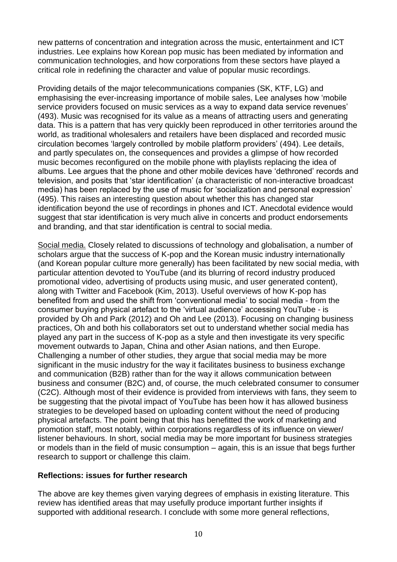new patterns of concentration and integration across the music, entertainment and ICT industries. Lee explains how Korean pop music has been mediated by information and communication technologies, and how corporations from these sectors have played a critical role in redefining the character and value of popular music recordings.

Providing details of the major telecommunications companies (SK, KTF, LG) and emphasising the ever-increasing importance of mobile sales, Lee analyses how 'mobile service providers focused on music services as a way to expand data service revenues' (493). Music was recognised for its value as a means of attracting users and generating data. This is a pattern that has very quickly been reproduced in other territories around the world, as traditional wholesalers and retailers have been displaced and recorded music circulation becomes 'largely controlled by mobile platform providers' (494). Lee details, and partly speculates on, the consequences and provides a glimpse of how recorded music becomes reconfigured on the mobile phone with playlists replacing the idea of albums. Lee argues that the phone and other mobile devices have 'dethroned' records and television, and posits that 'star identification' (a characteristic of non-interactive broadcast media) has been replaced by the use of music for 'socialization and personal expression' (495). This raises an interesting question about whether this has changed star identification beyond the use of recordings in phones and ICT. Anecdotal evidence would suggest that star identification is very much alive in concerts and product endorsements and branding, and that star identification is central to social media.

Social media. Closely related to discussions of technology and globalisation, a number of scholars argue that the success of K-pop and the Korean music industry internationally (and Korean popular culture more generally) has been facilitated by new social media, with particular attention devoted to YouTube (and its blurring of record industry produced promotional video, advertising of products using music, and user generated content), along with Twitter and Facebook (Kim, 2013). Useful overviews of how K-pop has benefited from and used the shift from 'conventional media' to social media - from the consumer buying physical artefact to the 'virtual audience' accessing YouTube - is provided by Oh and Park (2012) and Oh and Lee (2013). Focusing on changing business practices, Oh and both his collaborators set out to understand whether social media has played any part in the success of K-pop as a style and then investigate its very specific movement outwards to Japan, China and other Asian nations, and then Europe. Challenging a number of other studies, they argue that social media may be more significant in the music industry for the way it facilitates business to business exchange and communication (B2B) rather than for the way it allows communication between business and consumer (B2C) and, of course, the much celebrated consumer to consumer (C2C). Although most of their evidence is provided from interviews with fans, they seem to be suggesting that the pivotal impact of YouTube has been how it has allowed business strategies to be developed based on uploading content without the need of producing physical artefacts. The point being that this has benefitted the work of marketing and promotion staff, most notably, within corporations regardless of its influence on viewer/ listener behaviours. In short, social media may be more important for business strategies or models than in the field of music consumption – again, this is an issue that begs further research to support or challenge this claim.

#### **Reflections: issues for further research**

The above are key themes given varying degrees of emphasis in existing literature. This review has identified areas that may usefully produce important further insights if supported with additional research. I conclude with some more general reflections,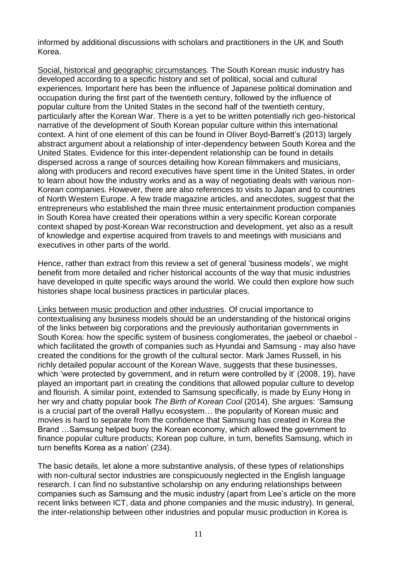informed by additional discussions with scholars and practitioners in the UK and South Korea.

Social, historical and geographic circumstances. The South Korean music industry has developed according to a specific history and set of political, social and cultural experiences. Important here has been the influence of Japanese political domination and occupation during the first part of the twentieth century, followed by the influence of popular culture from the United States in the second half of the twentieth century, particularly after the Korean War. There is a yet to be written potentially rich geo-historical narrative of the development of South Korean popular culture within this international context. A hint of one element of this can be found in Oliver Boyd-Barrett's (2013) largely abstract argument about a relationship of inter-dependency between South Korea and the United States. Evidence for this inter-dependent relationship can be found in details dispersed across a range of sources detailing how Korean filmmakers and musicians, along with producers and record executives have spent time in the United States, in order to learn about how the industry works and as a way of negotiating deals with various non-Korean companies. However, there are also references to visits to Japan and to countries of North Western Europe. A few trade magazine articles, and anecdotes, suggest that the entrepreneurs who established the main three music entertainment production companies in South Korea have created their operations within a very specific Korean corporate context shaped by post-Korean War reconstruction and development, yet also as a result of knowledge and expertise acquired from travels to and meetings with musicians and executives in other parts of the world.

Hence, rather than extract from this review a set of general 'business models', we might benefit from more detailed and richer historical accounts of the way that music industries have developed in quite specific ways around the world. We could then explore how such histories shape local business practices in particular places.

Links between music production and other industries. Of crucial importance to contextualising any business models should be an understanding of the historical origins of the links between big corporations and the previously authoritarian governments in South Korea: how the specific system of business conglomerates, the jaebeol or chaebol which facilitated the growth of companies such as Hyundai and Samsung - may also have created the conditions for the growth of the cultural sector. Mark James Russell, in his richly detailed popular account of the Korean Wave, suggests that these businesses, which 'were protected by government, and in return were controlled by it' (2008, 19), have played an important part in creating the conditions that allowed popular culture to develop and flourish. A similar point, extended to Samsung specifically, is made by Euny Hong in her wry and chatty popular book *The Birth of Korean Cool* (2014). She argues: 'Samsung is a crucial part of the overall Hallyu ecosystem… the popularity of Korean music and movies is hard to separate from the confidence that Samsung has created in Korea the Brand …Samsung helped buoy the Korean economy, which allowed the government to finance popular culture products; Korean pop culture, in turn, benefits Samsung, which in turn benefits Korea as a nation' (234).

The basic details, let alone a more substantive analysis, of these types of relationships with non-cultural sector industries are conspicuously neglected in the English language research. I can find no substantive scholarship on any enduring relationships between companies such as Samsung and the music industry (apart from Lee's article on the more recent links between ICT, data and phone companies and the music industry). In general, the inter-relationship between other industries and popular music production in Korea is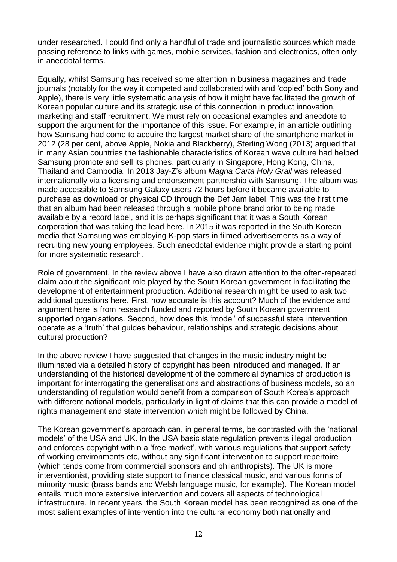under researched. I could find only a handful of trade and journalistic sources which made passing reference to links with games, mobile services, fashion and electronics, often only in anecdotal terms.

Equally, whilst Samsung has received some attention in business magazines and trade journals (notably for the way it competed and collaborated with and 'copied' both Sony and Apple), there is very little systematic analysis of how it might have facilitated the growth of Korean popular culture and its strategic use of this connection in product innovation, marketing and staff recruitment. We must rely on occasional examples and anecdote to support the argument for the importance of this issue. For example, in an article outlining how Samsung had come to acquire the largest market share of the smartphone market in 2012 (28 per cent, above Apple, Nokia and Blackberry), Sterling Wong (2013) argued that in many Asian countries the fashionable characteristics of Korean wave culture had helped Samsung promote and sell its phones, particularly in Singapore, Hong Kong, China, Thailand and Cambodia. In 2013 Jay-Z's album *Magna Carta Holy Grail* was released internationally via a licensing and endorsement partnership with Samsung. The album was made accessible to Samsung Galaxy users 72 hours before it became available to purchase as download or physical CD through the Def Jam label. This was the first time that an album had been released through a mobile phone brand prior to being made available by a record label, and it is perhaps significant that it was a South Korean corporation that was taking the lead here. In 2015 it was reported in the South Korean media that Samsung was employing K-pop stars in filmed advertisements as a way of recruiting new young employees. Such anecdotal evidence might provide a starting point for more systematic research.

Role of government. In the review above I have also drawn attention to the often-repeated claim about the significant role played by the South Korean government in facilitating the development of entertainment production. Additional research might be used to ask two additional questions here. First, how accurate is this account? Much of the evidence and argument here is from research funded and reported by South Korean government supported organisations. Second, how does this 'model' of successful state intervention operate as a 'truth' that guides behaviour, relationships and strategic decisions about cultural production?

In the above review I have suggested that changes in the music industry might be illuminated via a detailed history of copyright has been introduced and managed. If an understanding of the historical development of the commercial dynamics of production is important for interrogating the generalisations and abstractions of business models, so an understanding of regulation would benefit from a comparison of South Korea's approach with different national models, particularly in light of claims that this can provide a model of rights management and state intervention which might be followed by China.

The Korean government's approach can, in general terms, be contrasted with the 'national models' of the USA and UK. In the USA basic state regulation prevents illegal production and enforces copyright within a 'free market', with various regulations that support safety of working environments etc, without any significant intervention to support repertoire (which tends come from commercial sponsors and philanthropists). The UK is more interventionist, providing state support to finance classical music, and various forms of minority music (brass bands and Welsh language music, for example). The Korean model entails much more extensive intervention and covers all aspects of technological infrastructure. In recent years, the South Korean model has been recognized as one of the most salient examples of intervention into the cultural economy both nationally and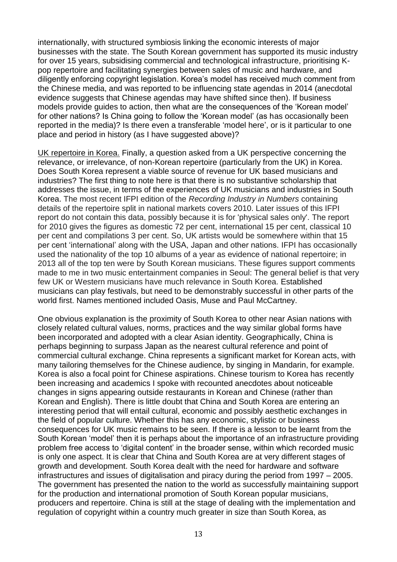internationally, with structured symbiosis linking the economic interests of major businesses with the state. The South Korean government has supported its music industry for over 15 years, subsidising commercial and technological infrastructure, prioritising Kpop repertoire and facilitating synergies between sales of music and hardware, and diligently enforcing copyright legislation. Korea's model has received much comment from the Chinese media, and was reported to be influencing state agendas in 2014 (anecdotal evidence suggests that Chinese agendas may have shifted since then). If business models provide guides to action, then what are the consequences of the 'Korean model' for other nations? Is China going to follow the 'Korean model' (as has occasionally been reported in the media)? Is there even a transferable 'model here', or is it particular to one place and period in history (as I have suggested above)?

UK repertoire in Korea. Finally, a question asked from a UK perspective concerning the relevance, or irrelevance, of non-Korean repertoire (particularly from the UK) in Korea. Does South Korea represent a viable source of revenue for UK based musicians and industries? The first thing to note here is that there is no substantive scholarship that addresses the issue, in terms of the experiences of UK musicians and industries in South Korea. The most recent IFPI edition of the *Recording Industry in Numbers* containing details of the repertoire split in national markets covers 2010. Later issues of this IFPI report do not contain this data, possibly because it is for 'physical sales only'. The report for 2010 gives the figures as domestic 72 per cent, international 15 per cent, classical 10 per cent and compilations 3 per cent. So, UK artists would be somewhere within that 15 per cent 'international' along with the USA, Japan and other nations. IFPI has occasionally used the nationality of the top 10 albums of a year as evidence of national repertoire; in 2013 all of the top ten were by South Korean musicians. These figures support comments made to me in two music entertainment companies in Seoul: The general belief is that very few UK or Western musicians have much relevance in South Korea. Established musicians can play festivals, but need to be demonstrably successful in other parts of the world first. Names mentioned included Oasis, Muse and Paul McCartney.

One obvious explanation is the proximity of South Korea to other near Asian nations with closely related cultural values, norms, practices and the way similar global forms have been incorporated and adopted with a clear Asian identity. Geographically, China is perhaps beginning to surpass Japan as the nearest cultural reference and point of commercial cultural exchange. China represents a significant market for Korean acts, with many tailoring themselves for the Chinese audience, by singing in Mandarin, for example. Korea is also a focal point for Chinese aspirations. Chinese tourism to Korea has recently been increasing and academics I spoke with recounted anecdotes about noticeable changes in signs appearing outside restaurants in Korean and Chinese (rather than Korean and English). There is little doubt that China and South Korea are entering an interesting period that will entail cultural, economic and possibly aesthetic exchanges in the field of popular culture. Whether this has any economic, stylistic or business consequences for UK music remains to be seen. If there is a lesson to be learnt from the South Korean 'model' then it is perhaps about the importance of an infrastructure providing problem free access to 'digital content' in the broader sense, within which recorded music is only one aspect. It is clear that China and South Korea are at very different stages of growth and development. South Korea dealt with the need for hardware and software infrastructures and issues of digitalisation and piracy during the period from 1997 – 2005. The government has presented the nation to the world as successfully maintaining support for the production and international promotion of South Korean popular musicians, producers and repertoire. China is still at the stage of dealing with the implementation and regulation of copyright within a country much greater in size than South Korea, as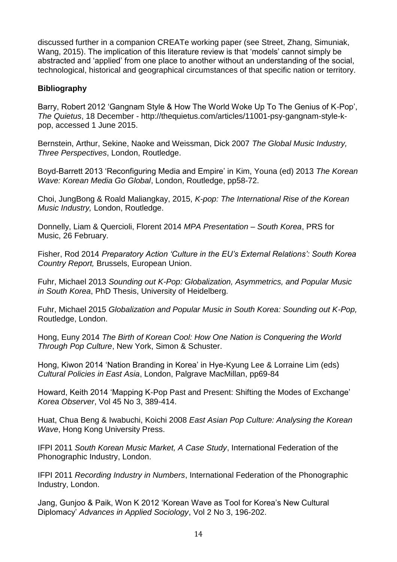discussed further in a companion CREATe working paper (see Street, Zhang, Simuniak, Wang, 2015). The implication of this literature review is that 'models' cannot simply be abstracted and 'applied' from one place to another without an understanding of the social, technological, historical and geographical circumstances of that specific nation or territory.

## **Bibliography**

Barry, Robert 2012 'Gangnam Style & How The World Woke Up To The Genius of K-Pop', *The Quietus*, 18 December - http://thequietus.com/articles/11001-psy-gangnam-style-kpop, accessed 1 June 2015.

Bernstein, Arthur, Sekine, Naoke and Weissman, Dick 2007 *The Global Music Industry, Three Perspectives*, London, Routledge.

Boyd-Barrett 2013 'Reconfiguring Media and Empire' in Kim, Youna (ed) 2013 *The Korean Wave: Korean Media Go Global*, London, Routledge, pp58-72.

Choi, JungBong & Roald Maliangkay, 2015, *K-pop: The International Rise of the Korean Music Industry,* London, Routledge.

Donnelly, Liam & Quercioli, Florent 2014 *MPA Presentation – South Korea*, PRS for Music, 26 February.

Fisher, Rod 2014 *Preparatory Action 'Culture in the EU's External Relations': South Korea Country Report,* Brussels, European Union.

Fuhr, Michael 2013 *Sounding out K-Pop: Globalization, Asymmetrics, and Popular Music in South Korea*, PhD Thesis, University of Heidelberg.

Fuhr, Michael 2015 *Globalization and Popular Music in South Korea: Sounding out K-Pop,* Routledge, London.

Hong, Euny 2014 *The Birth of Korean Cool: How One Nation is Conquering the World Through Pop Culture*, New York, Simon & Schuster.

Hong, Kiwon 2014 'Nation Branding in Korea' in Hye-Kyung Lee & Lorraine Lim (eds) *Cultural Policies in East Asia*, London, Palgrave MacMillan, pp69-84

Howard, Keith 2014 'Mapping K-Pop Past and Present: Shifting the Modes of Exchange' *Korea Observer*, Vol 45 No 3, 389-414.

Huat, Chua Beng & Iwabuchi, Koichi 2008 *East Asian Pop Culture: Analysing the Korean Wave*, Hong Kong University Press.

IFPI 2011 *South Korean Music Market, A Case Study*, International Federation of the Phonographic Industry, London.

IFPI 2011 *Recording Industry in Numbers*, International Federation of the Phonographic Industry, London.

Jang, Gunjoo & Paik, Won K 2012 'Korean Wave as Tool for Korea's New Cultural Diplomacy' *Advances in Applied Sociology*, Vol 2 No 3, 196-202.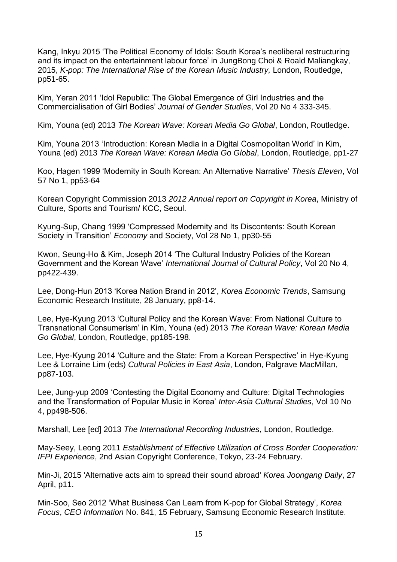Kang, Inkyu 2015 'The Political Economy of Idols: South Korea's neoliberal restructuring and its impact on the entertainment labour force' in JungBong Choi & Roald Maliangkay, 2015, *K-pop: The International Rise of the Korean Music Industry,* London, Routledge, pp51-65.

Kim, Yeran 2011 'Idol Republic: The Global Emergence of Girl Industries and the Commercialisation of Girl Bodies' *Journal of Gender Studies*, Vol 20 No 4 333-345.

Kim, Youna (ed) 2013 *The Korean Wave: Korean Media Go Global*, London, Routledge.

Kim, Youna 2013 'Introduction: Korean Media in a Digital Cosmopolitan World' in Kim, Youna (ed) 2013 *The Korean Wave: Korean Media Go Global*, London, Routledge, pp1-27

Koo, Hagen 1999 'Modernity in South Korean: An Alternative Narrative' *Thesis Eleven*, Vol 57 No 1, pp53-64

Korean Copyright Commission 2013 *2012 Annual report on Copyright in Korea*, Ministry of Culture, Sports and Tourism/ KCC, Seoul.

Kyung-Sup, Chang 1999 'Compressed Modernity and Its Discontents: South Korean Society in Transition' *Economy* and Society, Vol 28 No 1, pp30-55

Kwon, Seung-Ho & Kim, Joseph 2014 'The Cultural Industry Policies of the Korean Government and the Korean Wave' *International Journal of Cultural Policy*, Vol 20 No 4, pp422-439.

Lee, Dong-Hun 2013 'Korea Nation Brand in 2012', *Korea Economic Trends*, Samsung Economic Research Institute, 28 January, pp8-14.

Lee, Hye-Kyung 2013 'Cultural Policy and the Korean Wave: From National Culture to Transnational Consumerism' in Kim, Youna (ed) 2013 *The Korean Wave: Korean Media Go Global*, London, Routledge, pp185-198.

Lee, Hye-Kyung 2014 'Culture and the State: From a Korean Perspective' in Hye-Kyung Lee & Lorraine Lim (eds) *Cultural Policies in East Asia*, London, Palgrave MacMillan, pp87-103.

Lee, Jung-yup 2009 'Contesting the Digital Economy and Culture: Digital Technologies and the Transformation of Popular Music in Korea' *Inter-Asia Cultural Studies*, Vol 10 No 4, pp498-506.

Marshall, Lee [ed] 2013 *The International Recording Industries*, London, Routledge.

May-Seey, Leong 2011 *Establishment of Effective Utilization of Cross Border Cooperation: IFPI Experience*, 2nd Asian Copyright Conference, Tokyo, 23-24 February.

Min-Ji, 2015 'Alternative acts aim to spread their sound abroad' *Korea Joongang Daily*, 27 April, p11.

Min-Soo, Seo 2012 'What Business Can Learn from K-pop for Global Strategy', *Korea Focus*, *CEO Information* No. 841, 15 February, Samsung Economic Research Institute.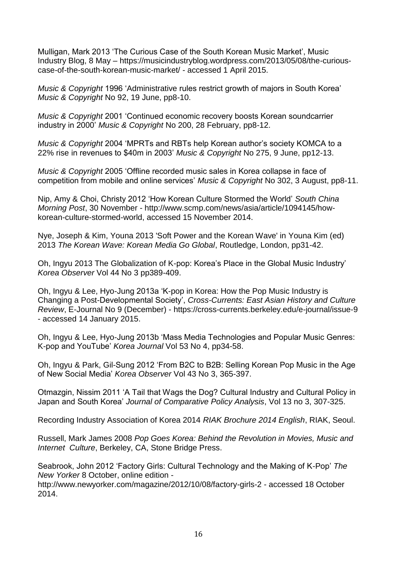Mulligan, Mark 2013 'The Curious Case of the South Korean Music Market', Music Industry Blog, 8 May – https://musicindustryblog.wordpress.com/2013/05/08/the-curiouscase-of-the-south-korean-music-market/ - accessed 1 April 2015.

*Music & Copyright* 1996 'Administrative rules restrict growth of majors in South Korea' *Music & Copyright* No 92, 19 June, pp8-10.

*Music & Copyright* 2001 'Continued economic recovery boosts Korean soundcarrier industry in 2000' *Music & Copyright* No 200, 28 February, pp8-12.

*Music & Copyright* 2004 'MPRTs and RBTs help Korean author's society KOMCA to a 22% rise in revenues to \$40m in 2003' *Music & Copyright* No 275, 9 June, pp12-13.

*Music & Copyright* 2005 'Offline recorded music sales in Korea collapse in face of competition from mobile and online services' *Music & Copyright* No 302, 3 August, pp8-11.

Nip, Amy & Choi, Christy 2012 'How Korean Culture Stormed the World' *South China Morning Post*, 30 November - http://www.scmp.com/news/asia/article/1094145/howkorean-culture-stormed-world, accessed 15 November 2014.

Nye, Joseph & Kim, Youna 2013 'Soft Power and the Korean Wave' in Youna Kim (ed) 2013 *The Korean Wave: Korean Media Go Global*, Routledge, London, pp31-42.

Oh, Ingyu 2013 The Globalization of K-pop: Korea's Place in the Global Music Industry' *Korea Observer* Vol 44 No 3 pp389-409.

Oh, Ingyu & Lee, Hyo-Jung 2013a 'K-pop in Korea: How the Pop Music Industry is Changing a Post-Developmental Society', *Cross-Currents: East Asian History and Culture Review*, E-Journal No 9 (December) - https://cross-currents.berkeley.edu/e-journal/issue-9 - accessed 14 January 2015.

Oh, Ingyu & Lee, Hyo-Jung 2013b 'Mass Media Technologies and Popular Music Genres: K-pop and YouTube' *Korea Journal* Vol 53 No 4, pp34-58.

Oh, Ingyu & Park, Gil-Sung 2012 'From B2C to B2B: Selling Korean Pop Music in the Age of New Social Media' *Korea Observer* Vol 43 No 3, 365-397.

Otmazgin, Nissim 2011 'A Tail that Wags the Dog? Cultural Industry and Cultural Policy in Japan and South Korea' *Journal of Comparative Policy Analysis*, Vol 13 no 3, 307-325.

Recording Industry Association of Korea 2014 *RIAK Brochure 2014 English*, RIAK, Seoul.

Russell, Mark James 2008 *Pop Goes Korea: Behind the Revolution in Movies, Music and Internet Culture*, Berkeley, CA, Stone Bridge Press.

Seabrook, John 2012 'Factory Girls: Cultural Technology and the Making of K-Pop' *The New Yorker* 8 October, online edition -

http://www.newyorker.com/magazine/2012/10/08/factory-girls-2 - accessed 18 October 2014.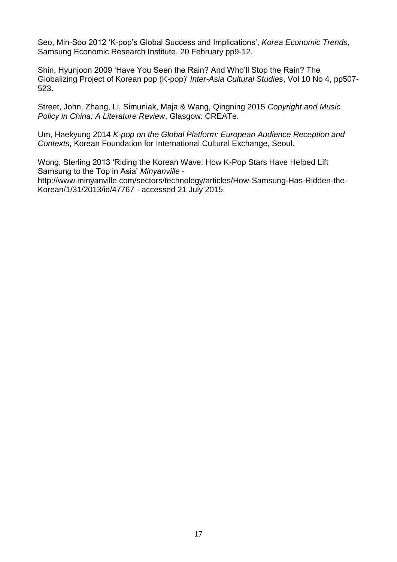Seo, Min-Soo 2012 'K-pop's Global Success and Implications', *Korea Economic Trends*, Samsung Economic Research Institute, 20 February pp9-12.

Shin, Hyunjoon 2009 'Have You Seen the Rain? And Who'll Stop the Rain? The Globalizing Project of Korean pop (K-pop)' *Inter-Asia Cultural Studies*, Vol 10 No 4, pp507- 523.

Street, John, Zhang, Li, Simuniak, Maja & Wang, Qingning 2015 *Copyright and Music Policy in China: A Literature Review*, Glasgow: CREATe.

Um, Haekyung 2014 *K-pop on the Global Platform: European Audience Reception and Contexts*, Korean Foundation for International Cultural Exchange, Seoul.

Wong, Sterling 2013 'Riding the Korean Wave: How K-Pop Stars Have Helped Lift Samsung to the Top in Asia' *Minyanville* http://www.minyanville.com/sectors/technology/articles/How-Samsung-Has-Ridden-the-Korean/1/31/2013/id/47767 - accessed 21 July 2015.